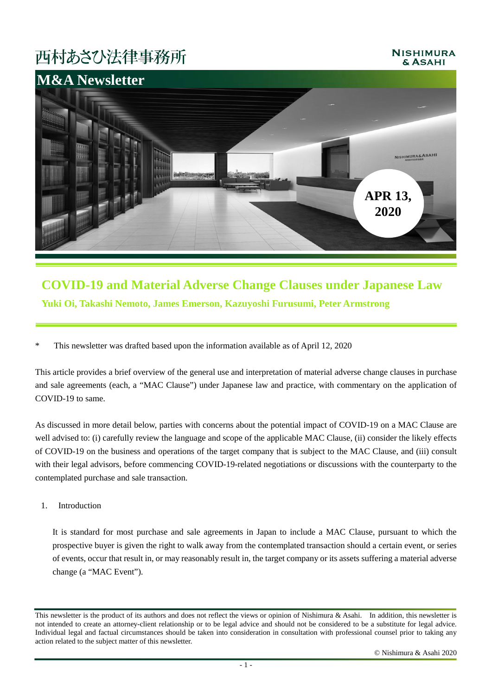# 西村あさひ法律事務所

### **NISHIMURA** & ASAHI



### **COVID-19 and Material Adverse Change Clauses under Japanese Law Yuki Oi, Takashi Nemoto, James Emerson, Kazuyoshi Furusumi, Peter Armstrong**

\* This newsletter was drafted based upon the information available as of April 12, 2020

This article provides a brief overview of the general use and interpretation of material adverse change clauses in purchase and sale agreements (each, a "MAC Clause") under Japanese law and practice, with commentary on the application of COVID-19 to same.

As discussed in more detail below, parties with concerns about the potential impact of COVID-19 on a MAC Clause are well advised to: (i) carefully review the language and scope of the applicable MAC Clause, (ii) consider the likely effects of COVID-19 on the business and operations of the target company that is subject to the MAC Clause, and (iii) consult with their legal advisors, before commencing COVID-19-related negotiations or discussions with the counterparty to the contemplated purchase and sale transaction.

#### 1. Introduction

It is standard for most purchase and sale agreements in Japan to include a MAC Clause, pursuant to which the prospective buyer is given the right to walk away from the contemplated transaction should a certain event, or series of events, occur that result in, or may reasonably result in, the target company or its assets suffering a material adverse change (a "MAC Event").

This newsletter is the product of its authors and does not reflect the views or opinion of Nishimura & Asahi. In addition, this newsletter is not intended to create an attorney-client relationship or to be legal advice and should not be considered to be a substitute for legal advice. Individual legal and factual circumstances should be taken into consideration in consultation with professional counsel prior to taking any action related to the subject matter of this newsletter.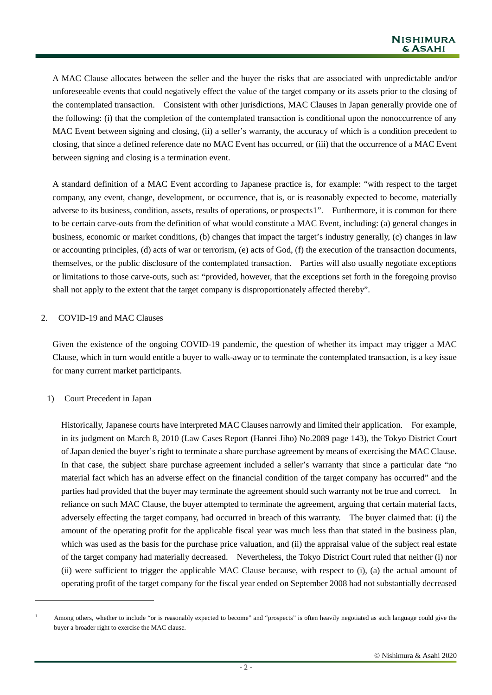A MAC Clause allocates between the seller and the buyer the risks that are associated with unpredictable and/or unforeseeable events that could negatively effect the value of the target company or its assets prior to the closing of the contemplated transaction. Consistent with other jurisdictions, MAC Clauses in Japan generally provide one of the following: (i) that the completion of the contemplated transaction is conditional upon the nonoccurrence of any MAC Event between signing and closing, (ii) a seller's warranty, the accuracy of which is a condition precedent to closing, that since a defined reference date no MAC Event has occurred, or (iii) that the occurrence of a MAC Event between signing and closing is a termination event.

A standard definition of a MAC Event according to Japanese practice is, for example: "with respect to the target company, any event, change, development, or occurrence, that is, or is reasonably expected to become, materially adverse to its business, condition, assets, results of operations, or prospects[1](#page-1-0)". Furthermore, it is common for there to be certain carve-outs from the definition of what would constitute a MAC Event, including: (a) general changes in business, economic or market conditions, (b) changes that impact the target's industry generally, (c) changes in law or accounting principles, (d) acts of war or terrorism, (e) acts of God, (f) the execution of the transaction documents, themselves, or the public disclosure of the contemplated transaction. Parties will also usually negotiate exceptions or limitations to those carve-outs, such as: "provided, however, that the exceptions set forth in the foregoing proviso shall not apply to the extent that the target company is disproportionately affected thereby".

#### 2. COVID-19 and MAC Clauses

Given the existence of the ongoing COVID-19 pandemic, the question of whether its impact may trigger a MAC Clause, which in turn would entitle a buyer to walk-away or to terminate the contemplated transaction, is a key issue for many current market participants.

#### 1) Court Precedent in Japan

 $\overline{a}$ 

Historically, Japanese courts have interpreted MAC Clauses narrowly and limited their application. For example, in its judgment on March 8, 2010 (Law Cases Report (Hanrei Jiho) No.2089 page 143), the Tokyo District Court of Japan denied the buyer's right to terminate a share purchase agreement by means of exercising the MAC Clause. In that case, the subject share purchase agreement included a seller's warranty that since a particular date "no material fact which has an adverse effect on the financial condition of the target company has occurred" and the parties had provided that the buyer may terminate the agreement should such warranty not be true and correct. In reliance on such MAC Clause, the buyer attempted to terminate the agreement, arguing that certain material facts, adversely effecting the target company, had occurred in breach of this warranty. The buyer claimed that: (i) the amount of the operating profit for the applicable fiscal year was much less than that stated in the business plan, which was used as the basis for the purchase price valuation, and (ii) the appraisal value of the subject real estate of the target company had materially decreased. Nevertheless, the Tokyo District Court ruled that neither (i) nor (ii) were sufficient to trigger the applicable MAC Clause because, with respect to (i), (a) the actual amount of operating profit of the target company for the fiscal year ended on September 2008 had not substantially decreased

<span id="page-1-0"></span>Among others, whether to include "or is reasonably expected to become" and "prospects" is often heavily negotiated as such language could give the buyer a broader right to exercise the MAC clause.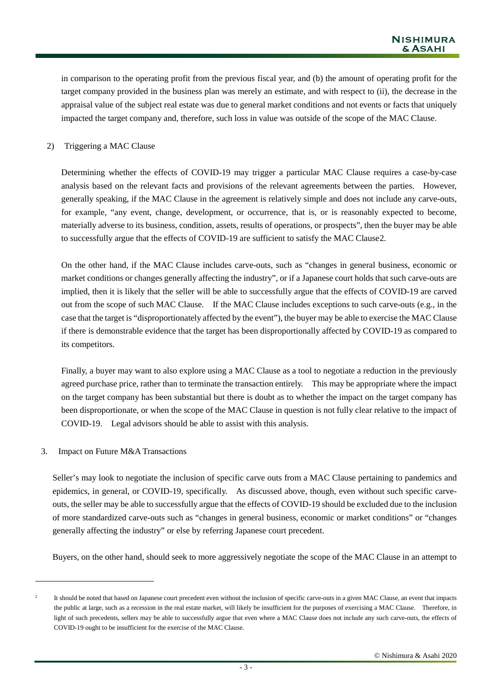in comparison to the operating profit from the previous fiscal year, and (b) the amount of operating profit for the target company provided in the business plan was merely an estimate, and with respect to (ii), the decrease in the appraisal value of the subject real estate was due to general market conditions and not events or facts that uniquely impacted the target company and, therefore, such loss in value was outside of the scope of the MAC Clause.

#### 2) Triggering a MAC Clause

Determining whether the effects of COVID-19 may trigger a particular MAC Clause requires a case-by-case analysis based on the relevant facts and provisions of the relevant agreements between the parties. However, generally speaking, if the MAC Clause in the agreement is relatively simple and does not include any carve-outs, for example, "any event, change, development, or occurrence, that is, or is reasonably expected to become, materially adverse to its business, condition, assets, results of operations, or prospects", then the buyer may be able to successfully argue that the effects of COVID-19 are sufficient to satisfy the MAC Clause[2.](#page-2-0)

On the other hand, if the MAC Clause includes carve-outs, such as "changes in general business, economic or market conditions or changes generally affecting the industry", or if a Japanese court holds that such carve-outs are implied, then it is likely that the seller will be able to successfully argue that the effects of COVID-19 are carved out from the scope of such MAC Clause. If the MAC Clause includes exceptions to such carve-outs (e.g., in the case that the target is "disproportionately affected by the event"), the buyer may be able to exercise the MAC Clause if there is demonstrable evidence that the target has been disproportionally affected by COVID-19 as compared to its competitors.

Finally, a buyer may want to also explore using a MAC Clause as a tool to negotiate a reduction in the previously agreed purchase price, rather than to terminate the transaction entirely. This may be appropriate where the impact on the target company has been substantial but there is doubt as to whether the impact on the target company has been disproportionate, or when the scope of the MAC Clause in question is not fully clear relative to the impact of COVID-19. Legal advisors should be able to assist with this analysis.

3. Impact on Future M&A Transactions

 $\overline{a}$ 

Seller's may look to negotiate the inclusion of specific carve outs from a MAC Clause pertaining to pandemics and epidemics, in general, or COVID-19, specifically. As discussed above, though, even without such specific carveouts, the seller may be able to successfully argue that the effects of COVID-19 should be excluded due to the inclusion of more standardized carve-outs such as "changes in general business, economic or market conditions" or "changes generally affecting the industry" or else by referring Japanese court precedent.

Buyers, on the other hand, should seek to more aggressively negotiate the scope of the MAC Clause in an attempt to

<span id="page-2-0"></span><sup>2</sup> It should be noted that based on Japanese court precedent even without the inclusion of specific carve-outs in a given MAC Clause, an event that impacts the public at large, such as a recession in the real estate market, will likely be insufficient for the purposes of exercising a MAC Clause. Therefore, in light of such precedents, sellers may be able to successfully argue that even where a MAC Clause does not include any such carve-outs, the effects of COVID-19 ought to be insufficient for the exercise of the MAC Clause.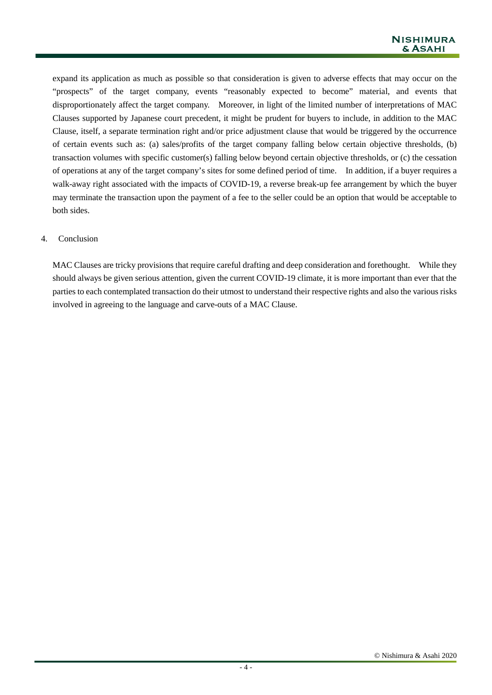expand its application as much as possible so that consideration is given to adverse effects that may occur on the "prospects" of the target company, events "reasonably expected to become" material, and events that disproportionately affect the target company. Moreover, in light of the limited number of interpretations of MAC Clauses supported by Japanese court precedent, it might be prudent for buyers to include, in addition to the MAC Clause, itself, a separate termination right and/or price adjustment clause that would be triggered by the occurrence of certain events such as: (a) sales/profits of the target company falling below certain objective thresholds, (b) transaction volumes with specific customer(s) falling below beyond certain objective thresholds, or (c) the cessation of operations at any of the target company's sites for some defined period of time. In addition, if a buyer requires a walk-away right associated with the impacts of COVID-19, a reverse break-up fee arrangement by which the buyer may terminate the transaction upon the payment of a fee to the seller could be an option that would be acceptable to both sides.

### 4. Conclusion

MAC Clauses are tricky provisions that require careful drafting and deep consideration and forethought. While they should always be given serious attention, given the current COVID-19 climate, it is more important than ever that the parties to each contemplated transaction do their utmost to understand their respective rights and also the various risks involved in agreeing to the language and carve-outs of a MAC Clause.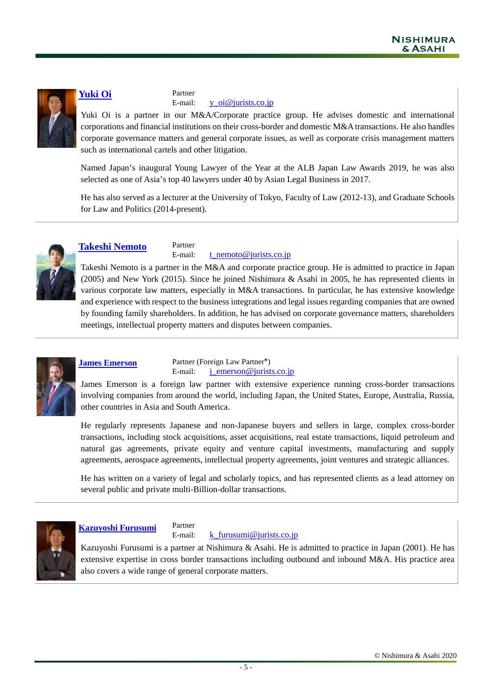

## **[Yuki Oi](https://www.jurists.co.jp/en/attorney/0157.html)** Partner<br>E-mail:

[y\\_oi@jurists.co.jp](mailto:y_oi@jurists.co.jp)

Yuki Oi is a partner in our M&A/Corporate practice group. He advises domestic and international corporations and financial institutions on their cross-border and domestic M&A transactions. He also handles corporate governance matters and general corporate issues, as well as corporate crisis management matters such as international cartels and other litigation.

Named Japan's inaugural Young Lawyer of the Year at the ALB Japan Law Awards 2019, he was also selected as one of Asia's top 40 lawyers under 40 by Asian Legal Business in 2017.

He has also served as a lecturer at the University of Tokyo, Faculty of Law (2012-13), and Graduate Schools for Law and Politics (2014-present).



**[Takeshi Nemoto](https://www.jurists.co.jp/en/attorney/0226.html)**<br>E-mail:

### [t\\_nemoto@jurists.co.jp](mailto:%20t_nemoto@jurists.co.jp)

Takeshi Nemoto is a partner in the M&A and corporate practice group. He is admitted to practice in Japan (2005) and New York (2015). Since he joined Nishimura & Asahi in 2005, he has represented clients in various corporate law matters, especially in M&A transactions. In particular, he has extensive knowledge and experience with respect to the business integrations and legal issues regarding companies that are owned by founding family shareholders. In addition, he has advised on corporate governance matters, shareholders meetings, intellectual property matters and disputes between companies.



**[James Emerson](https://www.jurists.co.jp/en/attorney/0476.html)**<br> **Partner (Foreign Law Partner\*)**<br> **E-mail: <u>j\_emerson@jurist</u>**  $j$  emerson@jurists.co.jp

James Emerson is a foreign law partner with extensive experience running cross-border transactions involving companies from around the world, including Japan, the United States, Europe, Australia, Russia, other countries in Asia and South America.

He regularly represents Japanese and non-Japanese buyers and sellers in large, complex cross-border transactions, including stock acquisitions, asset acquisitions, real estate transactions, liquid petroleum and natural gas agreements, private equity and venture capital investments, manufacturing and supply agreements, aerospace agreements, intellectual property agreements, joint ventures and strategic alliances.

He has written on a variety of legal and scholarly topics, and has represented clients as a lead attorney on several public and private multi-Billion-dollar transactions.



**[Kazuyoshi Furusumi](https://www.jurists.co.jp/en/attorney/0275.html)** Partner

 $k$  furusumi@jurists.co.jp

Kazuyoshi Furusumi is a partner at Nishimura & Asahi. He is admitted to practice in Japan (2001). He has extensive expertise in cross border transactions including outbound and inbound M&A. His practice area also covers a wide range of general corporate matters.